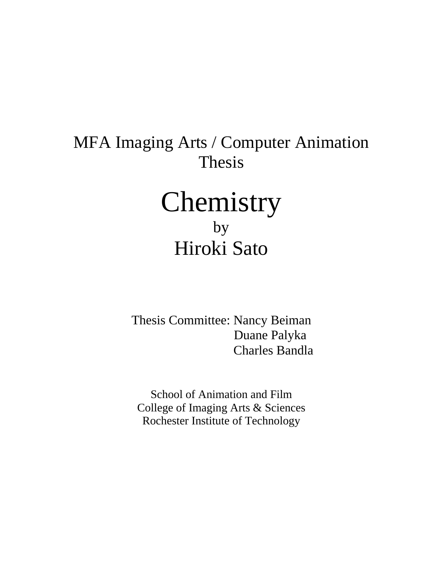## MFA Imaging Arts / Computer Animation Thesis Chemistry

## by Hiroki Sato

Thesis Committee: Nancy Beiman Duane Palyka Charles Bandla

School of Animation and Film College of Imaging Arts & Sciences Rochester Institute of Technology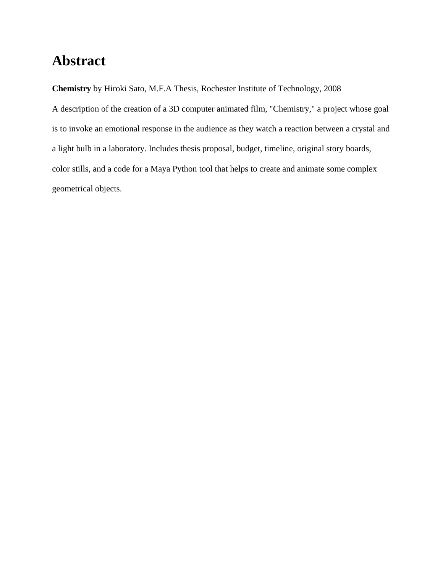## **Abstract**

**Chemistry** by Hiroki Sato, M.F.A Thesis, Rochester Institute of Technology, 2008

A description of the creation of a 3D computer animated film, "Chemistry," a project whose goal is to invoke an emotional response in the audience as they watch a reaction between a crystal and a light bulb in a laboratory. Includes thesis proposal, budget, timeline, original story boards, color stills, and a code for a Maya Python tool that helps to create and animate some complex geometrical objects.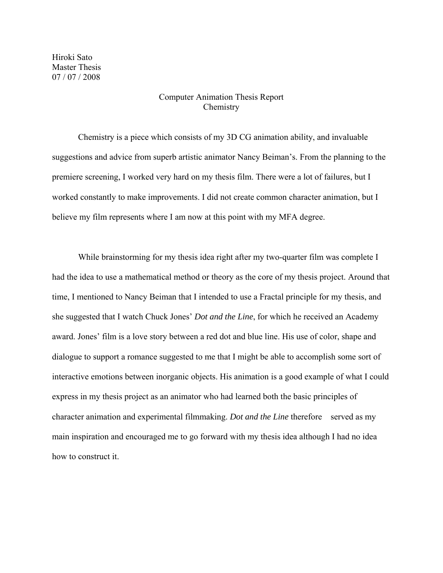Hiroki Sato Master Thesis 07 / 07 / 2008

## Computer Animation Thesis Report Chemistry

 Chemistry is a piece which consists of my 3D CG animation ability, and invaluable suggestions and advice from superb artistic animator Nancy Beiman's. From the planning to the premiere screening, I worked very hard on my thesis film. There were a lot of failures, but I worked constantly to make improvements. I did not create common character animation, but I believe my film represents where I am now at this point with my MFA degree.

 While brainstorming for my thesis idea right after my two-quarter film was complete I had the idea to use a mathematical method or theory as the core of my thesis project. Around that time, I mentioned to Nancy Beiman that I intended to use a Fractal principle for my thesis, and she suggested that I watch Chuck Jones' *Dot and the Line*, for which he received an Academy award. Jones' film is a love story between a red dot and blue line. His use of color, shape and dialogue to support a romance suggested to me that I might be able to accomplish some sort of interactive emotions between inorganic objects. His animation is a good example of what I could express in my thesis project as an animator who had learned both the basic principles of character animation and experimental filmmaking. *Dot and the Line* therefore served as my main inspiration and encouraged me to go forward with my thesis idea although I had no idea how to construct it.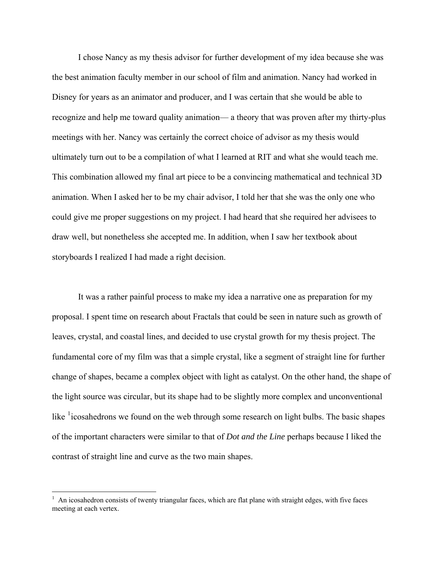I chose Nancy as my thesis advisor for further development of my idea because she was the best animation faculty member in our school of film and animation. Nancy had worked in Disney for years as an animator and producer, and I was certain that she would be able to recognize and help me toward quality animation— a theory that was proven after my thirty-plus meetings with her. Nancy was certainly the correct choice of advisor as my thesis would ultimately turn out to be a compilation of what I learned at RIT and what she would teach me. This combination allowed my final art piece to be a convincing mathematical and technical 3D animation. When I asked her to be my chair advisor, I told her that she was the only one who could give me proper suggestions on my project. I had heard that she required her advisees to draw well, but nonetheless she accepted me. In addition, when I saw her textbook about storyboards I realized I had made a right decision.

 It was a rather painful process to make my idea a narrative one as preparation for my proposal. I spent time on research about Fractals that could be seen in nature such as growth of leaves, crystal, and coastal lines, and decided to use crystal growth for my thesis project. The fundamental core of my film was that a simple crystal, like a segment of straight line for further change of shapes, became a complex object with light as catalyst. On the other hand, the shape of the light source was circular, but its shape had to be slightly more complex and unconventional like  $\frac{1}{1}$  $\frac{1}{1}$  $\frac{1}{1}$  icosahedrons we found on the web through some research on light bulbs. The basic shapes of the important characters were similar to that of *Dot and the Line* perhaps because I liked the contrast of straight line and curve as the two main shapes.

 $\overline{a}$ 

<span id="page-3-0"></span> $<sup>1</sup>$  An icosahedron consists of twenty triangular faces, which are flat plane with straight edges, with five faces</sup> meeting at each vertex.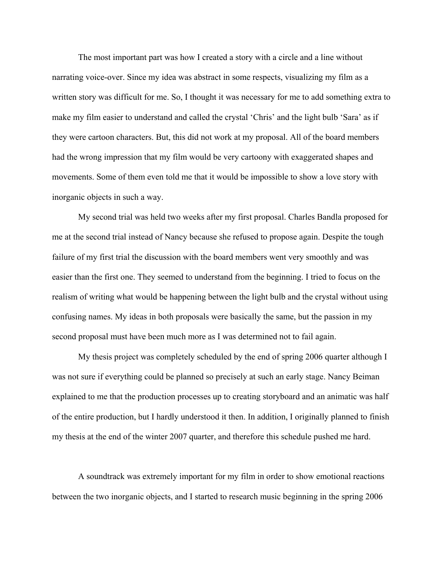The most important part was how I created a story with a circle and a line without narrating voice-over. Since my idea was abstract in some respects, visualizing my film as a written story was difficult for me. So, I thought it was necessary for me to add something extra to make my film easier to understand and called the crystal 'Chris' and the light bulb 'Sara' as if they were cartoon characters. But, this did not work at my proposal. All of the board members had the wrong impression that my film would be very cartoony with exaggerated shapes and movements. Some of them even told me that it would be impossible to show a love story with inorganic objects in such a way.

 My second trial was held two weeks after my first proposal. Charles Bandla proposed for me at the second trial instead of Nancy because she refused to propose again. Despite the tough failure of my first trial the discussion with the board members went very smoothly and was easier than the first one. They seemed to understand from the beginning. I tried to focus on the realism of writing what would be happening between the light bulb and the crystal without using confusing names. My ideas in both proposals were basically the same, but the passion in my second proposal must have been much more as I was determined not to fail again.

 My thesis project was completely scheduled by the end of spring 2006 quarter although I was not sure if everything could be planned so precisely at such an early stage. Nancy Beiman explained to me that the production processes up to creating storyboard and an animatic was half of the entire production, but I hardly understood it then. In addition, I originally planned to finish my thesis at the end of the winter 2007 quarter, and therefore this schedule pushed me hard.

 A soundtrack was extremely important for my film in order to show emotional reactions between the two inorganic objects, and I started to research music beginning in the spring 2006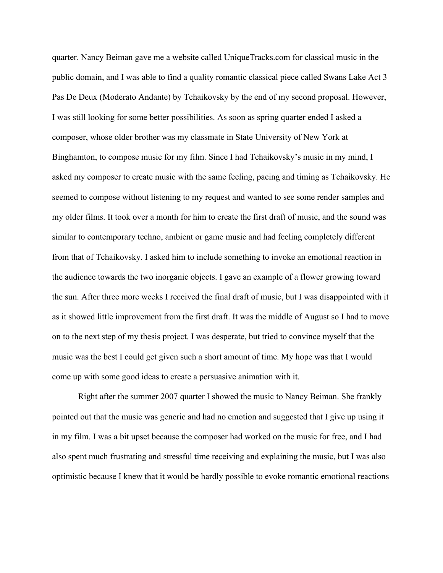quarter. Nancy Beiman gave me a website called UniqueTracks.com for classical music in the public domain, and I was able to find a quality romantic classical piece called Swans Lake Act 3 Pas De Deux (Moderato Andante) by Tchaikovsky by the end of my second proposal. However, I was still looking for some better possibilities. As soon as spring quarter ended I asked a composer, whose older brother was my classmate in State University of New York at Binghamton, to compose music for my film. Since I had Tchaikovsky's music in my mind, I asked my composer to create music with the same feeling, pacing and timing as Tchaikovsky. He seemed to compose without listening to my request and wanted to see some render samples and my older films. It took over a month for him to create the first draft of music, and the sound was similar to contemporary techno, ambient or game music and had feeling completely different from that of Tchaikovsky. I asked him to include something to invoke an emotional reaction in the audience towards the two inorganic objects. I gave an example of a flower growing toward the sun. After three more weeks I received the final draft of music, but I was disappointed with it as it showed little improvement from the first draft. It was the middle of August so I had to move on to the next step of my thesis project. I was desperate, but tried to convince myself that the music was the best I could get given such a short amount of time. My hope was that I would come up with some good ideas to create a persuasive animation with it.

 Right after the summer 2007 quarter I showed the music to Nancy Beiman. She frankly pointed out that the music was generic and had no emotion and suggested that I give up using it in my film. I was a bit upset because the composer had worked on the music for free, and I had also spent much frustrating and stressful time receiving and explaining the music, but I was also optimistic because I knew that it would be hardly possible to evoke romantic emotional reactions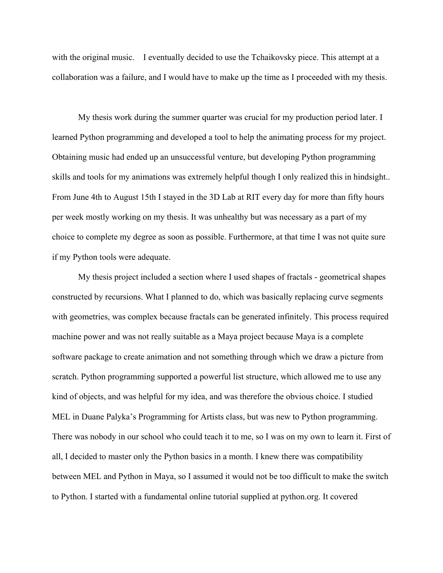with the original music. I eventually decided to use the Tchaikovsky piece. This attempt at a collaboration was a failure, and I would have to make up the time as I proceeded with my thesis.

 My thesis work during the summer quarter was crucial for my production period later. I learned Python programming and developed a tool to help the animating process for my project. Obtaining music had ended up an unsuccessful venture, but developing Python programming skills and tools for my animations was extremely helpful though I only realized this in hindsight.. From June 4th to August 15th I stayed in the 3D Lab at RIT every day for more than fifty hours per week mostly working on my thesis. It was unhealthy but was necessary as a part of my choice to complete my degree as soon as possible. Furthermore, at that time I was not quite sure if my Python tools were adequate.

 My thesis project included a section where I used shapes of fractals - geometrical shapes constructed by recursions. What I planned to do, which was basically replacing curve segments with geometries, was complex because fractals can be generated infinitely. This process required machine power and was not really suitable as a Maya project because Maya is a complete software package to create animation and not something through which we draw a picture from scratch. Python programming supported a powerful list structure, which allowed me to use any kind of objects, and was helpful for my idea, and was therefore the obvious choice. I studied MEL in Duane Palyka's Programming for Artists class, but was new to Python programming. There was nobody in our school who could teach it to me, so I was on my own to learn it. First of all, I decided to master only the Python basics in a month. I knew there was compatibility between MEL and Python in Maya, so I assumed it would not be too difficult to make the switch to Python. I started with a fundamental online tutorial supplied at python.org. It covered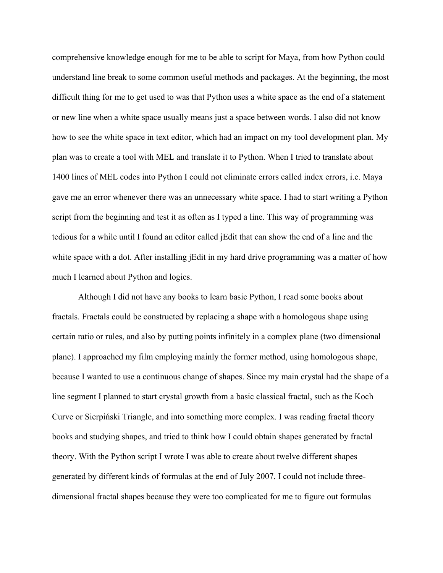comprehensive knowledge enough for me to be able to script for Maya, from how Python could understand line break to some common useful methods and packages. At the beginning, the most difficult thing for me to get used to was that Python uses a white space as the end of a statement or new line when a white space usually means just a space between words. I also did not know how to see the white space in text editor, which had an impact on my tool development plan. My plan was to create a tool with MEL and translate it to Python. When I tried to translate about 1400 lines of MEL codes into Python I could not eliminate errors called index errors, i.e. Maya gave me an error whenever there was an unnecessary white space. I had to start writing a Python script from the beginning and test it as often as I typed a line. This way of programming was tedious for a while until I found an editor called jEdit that can show the end of a line and the white space with a dot. After installing jEdit in my hard drive programming was a matter of how much I learned about Python and logics.

 Although I did not have any books to learn basic Python, I read some books about fractals. Fractals could be constructed by replacing a shape with a homologous shape using certain ratio or rules, and also by putting points infinitely in a complex plane (two dimensional plane). I approached my film employing mainly the former method, using homologous shape, because I wanted to use a continuous change of shapes. Since my main crystal had the shape of a line segment I planned to start crystal growth from a basic classical fractal, such as the Koch Curve or Sierpiński Triangle, and into something more complex. I was reading fractal theory books and studying shapes, and tried to think how I could obtain shapes generated by fractal theory. With the Python script I wrote I was able to create about twelve different shapes generated by different kinds of formulas at the end of July 2007. I could not include threedimensional fractal shapes because they were too complicated for me to figure out formulas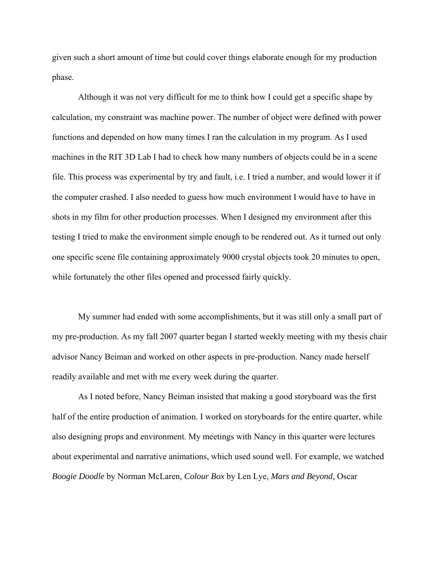given such a short amount of time but could cover things elaborate enough for my production phase.

 Although it was not very difficult for me to think how I could get a specific shape by calculation, my constraint was machine power. The number of object were defined with power functions and depended on how many times I ran the calculation in my program. As I used machines in the RIT 3D Lab I had to check how many numbers of objects could be in a scene file. This process was experimental by try and fault, i.e. I tried a number, and would lower it if the computer crashed. I also needed to guess how much environment I would have to have in shots in my film for other production processes. When I designed my environment after this testing I tried to make the environment simple enough to be rendered out. As it turned out only one specific scene file containing approximately 9000 crystal objects took 20 minutes to open, while fortunately the other files opened and processed fairly quickly.

 My summer had ended with some accomplishments, but it was still only a small part of my pre-production. As my fall 2007 quarter began I started weekly meeting with my thesis chair advisor Nancy Beiman and worked on other aspects in pre-production. Nancy made herself readily available and met with me every week during the quarter.

 As I noted before, Nancy Beiman insisted that making a good storyboard was the first half of the entire production of animation. I worked on storyboards for the entire quarter, while also designing props and environment. My meetings with Nancy in this quarter were lectures about experimental and narrative animations, which used sound well. For example, we watched *Boogie Doodle* by Norman McLaren*, Colour Box* by Len Lye*, Mars and Beyond,* Oscar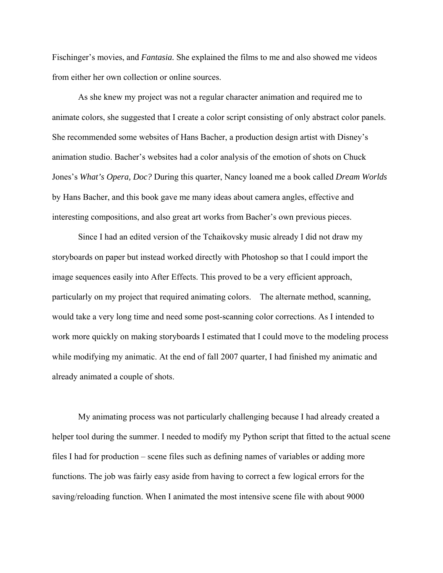Fischinger's movies, and *Fantasia.* She explained the films to me and also showed me videos from either her own collection or online sources.

 As she knew my project was not a regular character animation and required me to animate colors, she suggested that I create a color script consisting of only abstract color panels. She recommended some websites of Hans Bacher, a production design artist with Disney's animation studio. Bacher's websites had a color analysis of the emotion of shots on Chuck Jones's *What's Opera, Doc?* During this quarter, Nancy loaned me a book called *Dream Worlds*  by Hans Bacher, and this book gave me many ideas about camera angles, effective and interesting compositions, and also great art works from Bacher's own previous pieces.

 Since I had an edited version of the Tchaikovsky music already I did not draw my storyboards on paper but instead worked directly with Photoshop so that I could import the image sequences easily into After Effects. This proved to be a very efficient approach, particularly on my project that required animating colors. The alternate method, scanning, would take a very long time and need some post-scanning color corrections. As I intended to work more quickly on making storyboards I estimated that I could move to the modeling process while modifying my animatic. At the end of fall 2007 quarter, I had finished my animatic and already animated a couple of shots.

 My animating process was not particularly challenging because I had already created a helper tool during the summer. I needed to modify my Python script that fitted to the actual scene files I had for production – scene files such as defining names of variables or adding more functions. The job was fairly easy aside from having to correct a few logical errors for the saving/reloading function. When I animated the most intensive scene file with about 9000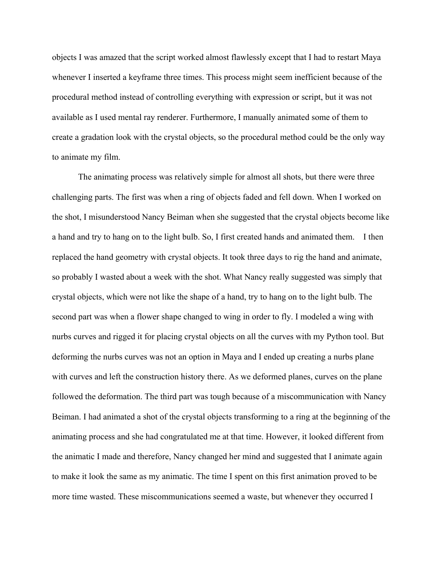objects I was amazed that the script worked almost flawlessly except that I had to restart Maya whenever I inserted a keyframe three times. This process might seem inefficient because of the procedural method instead of controlling everything with expression or script, but it was not available as I used mental ray renderer. Furthermore, I manually animated some of them to create a gradation look with the crystal objects, so the procedural method could be the only way to animate my film.

 The animating process was relatively simple for almost all shots, but there were three challenging parts. The first was when a ring of objects faded and fell down. When I worked on the shot, I misunderstood Nancy Beiman when she suggested that the crystal objects become like a hand and try to hang on to the light bulb. So, I first created hands and animated them. I then replaced the hand geometry with crystal objects. It took three days to rig the hand and animate, so probably I wasted about a week with the shot. What Nancy really suggested was simply that crystal objects, which were not like the shape of a hand, try to hang on to the light bulb. The second part was when a flower shape changed to wing in order to fly. I modeled a wing with nurbs curves and rigged it for placing crystal objects on all the curves with my Python tool. But deforming the nurbs curves was not an option in Maya and I ended up creating a nurbs plane with curves and left the construction history there. As we deformed planes, curves on the plane followed the deformation. The third part was tough because of a miscommunication with Nancy Beiman. I had animated a shot of the crystal objects transforming to a ring at the beginning of the animating process and she had congratulated me at that time. However, it looked different from the animatic I made and therefore, Nancy changed her mind and suggested that I animate again to make it look the same as my animatic. The time I spent on this first animation proved to be more time wasted. These miscommunications seemed a waste, but whenever they occurred I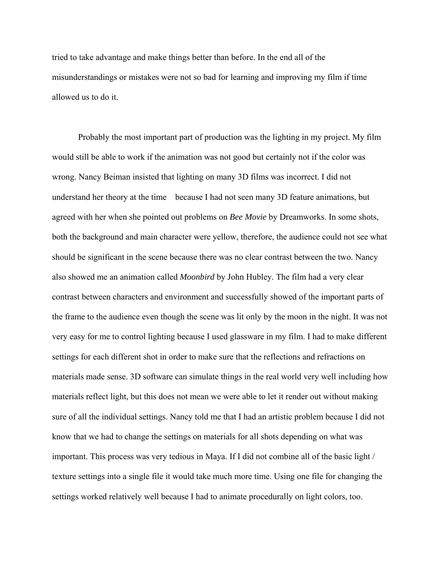tried to take advantage and make things better than before. In the end all of the misunderstandings or mistakes were not so bad for learning and improving my film if time allowed us to do it.

 Probably the most important part of production was the lighting in my project. My film would still be able to work if the animation was not good but certainly not if the color was wrong. Nancy Beiman insisted that lighting on many 3D films was incorrect. I did not understand her theory at the time because I had not seen many 3D feature animations, but agreed with her when she pointed out problems on *Bee Movie* by Dreamworks. In some shots, both the background and main character were yellow, therefore, the audience could not see what should be significant in the scene because there was no clear contrast between the two. Nancy also showed me an animation called *Moonbird* by John Hubley. The film had a very clear contrast between characters and environment and successfully showed of the important parts of the frame to the audience even though the scene was lit only by the moon in the night. It was not very easy for me to control lighting because I used glassware in my film. I had to make different settings for each different shot in order to make sure that the reflections and refractions on materials made sense. 3D software can simulate things in the real world very well including how materials reflect light, but this does not mean we were able to let it render out without making sure of all the individual settings. Nancy told me that I had an artistic problem because I did not know that we had to change the settings on materials for all shots depending on what was important. This process was very tedious in Maya. If I did not combine all of the basic light / texture settings into a single file it would take much more time. Using one file for changing the settings worked relatively well because I had to animate procedurally on light colors, too.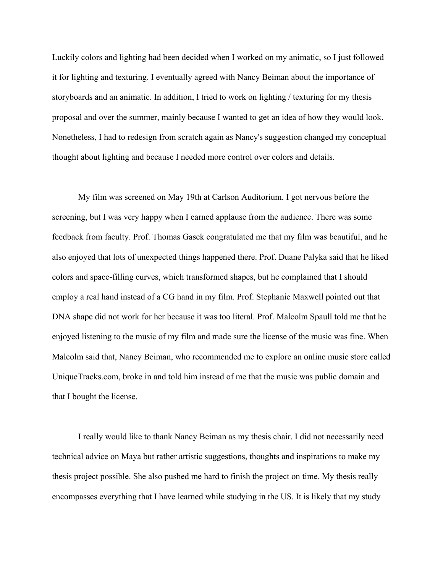Luckily colors and lighting had been decided when I worked on my animatic, so I just followed it for lighting and texturing. I eventually agreed with Nancy Beiman about the importance of storyboards and an animatic. In addition, I tried to work on lighting / texturing for my thesis proposal and over the summer, mainly because I wanted to get an idea of how they would look. Nonetheless, I had to redesign from scratch again as Nancy's suggestion changed my conceptual thought about lighting and because I needed more control over colors and details.

 My film was screened on May 19th at Carlson Auditorium. I got nervous before the screening, but I was very happy when I earned applause from the audience. There was some feedback from faculty. Prof. Thomas Gasek congratulated me that my film was beautiful, and he also enjoyed that lots of unexpected things happened there. Prof. Duane Palyka said that he liked colors and space-filling curves, which transformed shapes, but he complained that I should employ a real hand instead of a CG hand in my film. Prof. Stephanie Maxwell pointed out that DNA shape did not work for her because it was too literal. Prof. Malcolm Spaull told me that he enjoyed listening to the music of my film and made sure the license of the music was fine. When Malcolm said that, Nancy Beiman, who recommended me to explore an online music store called UniqueTracks.com, broke in and told him instead of me that the music was public domain and that I bought the license.

 I really would like to thank Nancy Beiman as my thesis chair. I did not necessarily need technical advice on Maya but rather artistic suggestions, thoughts and inspirations to make my thesis project possible. She also pushed me hard to finish the project on time. My thesis really encompasses everything that I have learned while studying in the US. It is likely that my study